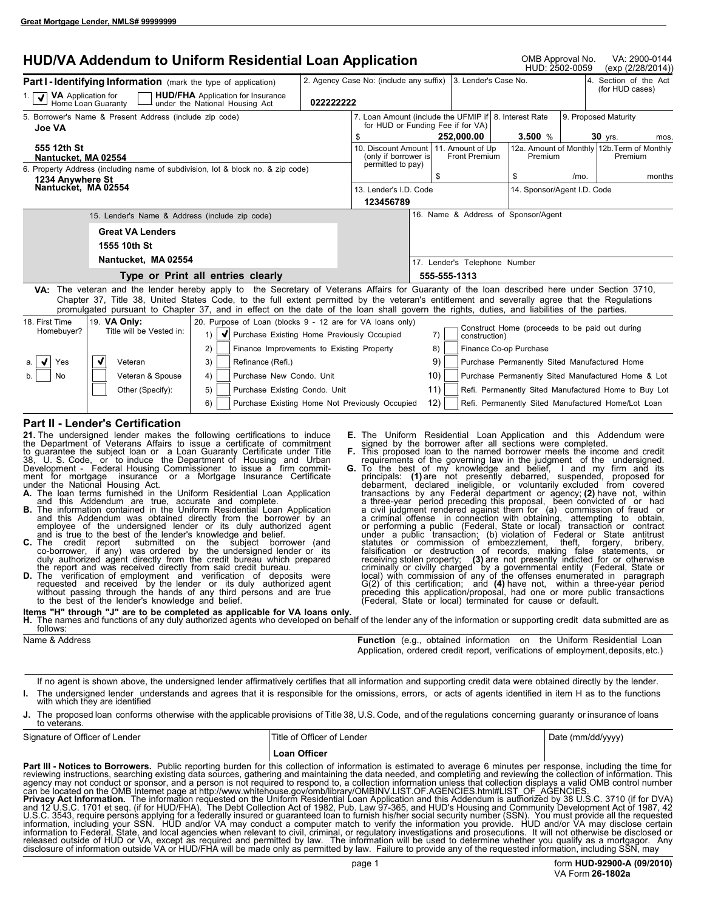| <b>HUD/VA Addendum to Uniform Residential Loan Application</b>                                                                                                                                                                                                                                                                                                                                                                             |           |                                                         |     |                                                 |                        | OMB Approval No.<br>HUD: 2502-0059             | VA: 2900-0144<br>(exp (2/28/2014))                                        |
|--------------------------------------------------------------------------------------------------------------------------------------------------------------------------------------------------------------------------------------------------------------------------------------------------------------------------------------------------------------------------------------------------------------------------------------------|-----------|---------------------------------------------------------|-----|-------------------------------------------------|------------------------|------------------------------------------------|---------------------------------------------------------------------------|
| <b>Part I - Identifying Information</b> (mark the type of application)<br><b>HUD/FHA</b> Application for Insurance<br>VA Application for                                                                                                                                                                                                                                                                                                   |           | 2. Agency Case No: (include any suffix)                 |     | 3. Lender's Case No.                            |                        |                                                | 4. Section of the Act<br>(for HUD cases)                                  |
| Home Loan Guaranty<br>under the National Housing Act                                                                                                                                                                                                                                                                                                                                                                                       | 022222222 |                                                         |     |                                                 |                        |                                                |                                                                           |
| 5. Borrower's Name & Present Address (include zip code)<br><b>Joe VA</b>                                                                                                                                                                                                                                                                                                                                                                   |           | 7. Loan Amount (include the UFMIP if   8. Interest Rate |     | for HUD or Funding Fee if for VA)               |                        |                                                | 9. Proposed Maturity                                                      |
| 555 12th St<br>Nantucket. MA 02554                                                                                                                                                                                                                                                                                                                                                                                                         |           | S.<br>10. Discount Amount<br>(only if borrower is       |     | 252.000.00<br>11. Amount of Up<br>Front Premium |                        | 3.500 $%$<br>Premium                           | 30 yrs.<br>mos.<br>12a. Amount of Monthly 12b. Term of Monthly<br>Premium |
| 6. Property Address (including name of subdivision, lot & block no. & zip code)<br>1234 Anvwhere St<br>Nantucket, MA 02554                                                                                                                                                                                                                                                                                                                 |           | permitted to pay)                                       |     | \$                                              | \$                     | $/mo$ .                                        | months                                                                    |
|                                                                                                                                                                                                                                                                                                                                                                                                                                            |           | 13. Lender's I.D. Code<br>123456789                     |     |                                                 |                        | 14. Sponsor/Agent I.D. Code                    |                                                                           |
| 15. Lender's Name & Address (include zip code)                                                                                                                                                                                                                                                                                                                                                                                             |           |                                                         |     | 16. Name & Address of Sponsor/Agent             |                        |                                                |                                                                           |
| <b>Great VA Lenders</b>                                                                                                                                                                                                                                                                                                                                                                                                                    |           |                                                         |     |                                                 |                        |                                                |                                                                           |
| 1555 10th St                                                                                                                                                                                                                                                                                                                                                                                                                               |           |                                                         |     |                                                 |                        |                                                |                                                                           |
| Nantucket, MA 02554                                                                                                                                                                                                                                                                                                                                                                                                                        |           |                                                         |     | 17. Lender's Telephone Number                   |                        |                                                |                                                                           |
| Type or Print all entries clearly                                                                                                                                                                                                                                                                                                                                                                                                          |           |                                                         |     | 555-555-1313                                    |                        |                                                |                                                                           |
| VA: The veteran and the lender hereby apply to the Secretary of Veterans Affairs for Guaranty of the loan described here under Section 3710,<br>Chapter 37, Title 38, United States Code, to the full extent permitted by the veteran's entitlement and severally agree that the Regulations<br>promulgated pursuant to Chapter 37, and in effect on the date of the loan shall govern the rights, duties, and liabilities of the parties. |           |                                                         |     |                                                 |                        |                                                |                                                                           |
| 19. VA Only:<br>20. Purpose of Loan (blocks 9 - 12 are for VA loans only)<br>18. First Time<br>Homebuyer?<br>Title will be Vested in:<br>V Purchase Existing Home Previously Occupied<br>1)                                                                                                                                                                                                                                                |           |                                                         |     | 7)<br>construction)                             |                        | Construct Home (proceeds to be paid out during |                                                                           |
| 2)<br>Finance Improvements to Existing Property                                                                                                                                                                                                                                                                                                                                                                                            |           |                                                         |     | 8)                                              | Finance Co-op Purchase |                                                |                                                                           |
| $\sqrt{ }$<br>Yes<br>Veteran<br>3)<br>Refinance (Refi.)                                                                                                                                                                                                                                                                                                                                                                                    |           |                                                         |     | 9)                                              |                        | Purchase Permanently Sited Manufactured Home   |                                                                           |
| Veteran & Spouse<br>Purchase New Condo. Unit<br>No<br>4)                                                                                                                                                                                                                                                                                                                                                                                   |           |                                                         |     | 10)                                             |                        |                                                | Purchase Permanently Sited Manufactured Home & Lot                        |
| Purchase Existing Condo. Unit<br>Other (Specify):<br>5)                                                                                                                                                                                                                                                                                                                                                                                    |           |                                                         |     | 11)                                             |                        |                                                | Refi. Permanently Sited Manufactured Home to Buy Lot                      |
| Purchase Existing Home Not Previously Occupied<br>6)                                                                                                                                                                                                                                                                                                                                                                                       |           |                                                         | 12) |                                                 |                        |                                                | Refi. Permanently Sited Manufactured Home/Lot Loan                        |
| <b>Part II - Lender's Certification</b><br>21. The undersigned lender makes the following certifications to induce                                                                                                                                                                                                                                                                                                                         |           |                                                         |     |                                                 |                        |                                                | <b>E.</b> The Uniform Residential Loan Application and this Addendum were |

**21.** The undersigned lender makes the following certifications to induce the Department of Veterans Affairs to issue a certificate of commitment to guarantee the subject loan or a Loan Guaranty Certificate under Title 38, U. S. Code, or to induce the Department of Housing and Urban Development - Federal Housing Commissioner to issue a firm commit-

- ment for mortgage insurance or a Mortgage Insurance Certificate<br>
under the National Housing Act.<br> **A.** The loan terms furnished in the Uniform Residential Loan Application<br>
and this Addendum are true, accurate and complete
- 
- and this Addendum was obtained directly from the borrower by an<br>employee of the undersigned lender or its duly authorized agent<br>and is true to the best of the lender's knowledge and belief.<br>C. The credit report submitted o
- **D.** The verification of employment and verification of deposits were requested and received by the lender or its duly authorized agent without passing through the hands of any third persons and are true to the best of the
- **E.** The Uniform Residential Loan Application and this Addendum were signed by the borrower after all sections were completed. **F.** This proposed loan to the named borrower meets the income and credit
- **G.** To the best of my knowledge and belief, I and my finding the principals: (1) are not presently debarred, suspended, proposed for debarment, declared ineligible, or voluntarily excluded from covered transactions by an a criminal offense in connection with obtaining, attempting to obtain,<br>or performing a public (Federal, State or local) transaction or contract<br>under a public transaction; (b) violation of Federal or State ant falsification or destruction of records, making false stafements, or<br>receiving stolen property; (3) are not presently indicted for or otherwise<br>criminally or civilly charged by a governmental entity (Federal, State or<br>loca

**Items "H" through "J" are to be completed as applicable for VA loans only.**<br>H. The names and functions of any duly authorized agents who developed on beha **H.** The names and functions of any duly authorized agents who developed on behalf of the lender any of the information or supporting credit data submitted are as follows:

| Name & Address | <b>Function</b> (e.g., obtained information on the Uniform Residential Loan      |
|----------------|----------------------------------------------------------------------------------|
|                | Application, ordered credit report, verifications of employment, deposits, etc.) |

If no agent is shown above, the undersigned lender affirmatively certifies that all information and supporting credit data were obtained directly by the lender. **I.** The undersigned lender understands and agrees that it is responsible for the omissions, errors, or acts of agents identified in item H as to the functions with which they are identified

**J.** The proposed loan conforms otherwise with the applicable provisions of Title 38, U.S. Code, and of the regulations concerning guaranty or insurance of loans to veterans.

| Signature of Officer of Lender | Title of Officer of Lender                                                                                                                                                                                                                                                                                                                                                                                                                                                                                                                                                                                                                                                                                                                                                                                                         | Date (mm/dd/yyyy) |
|--------------------------------|------------------------------------------------------------------------------------------------------------------------------------------------------------------------------------------------------------------------------------------------------------------------------------------------------------------------------------------------------------------------------------------------------------------------------------------------------------------------------------------------------------------------------------------------------------------------------------------------------------------------------------------------------------------------------------------------------------------------------------------------------------------------------------------------------------------------------------|-------------------|
|                                | Loan Officer                                                                                                                                                                                                                                                                                                                                                                                                                                                                                                                                                                                                                                                                                                                                                                                                                       |                   |
|                                | <b>Part III - Notices to Borrowers.</b> Public reporting burden for this collection of information is estimated to average 6 minutes per response, including the time for<br>reviewing instructions, searching existing data sources, gathering and maintaining the data needed, and completing and reviewing the collection of information. This<br>agency may not conduct or sponsor, and a person is not required to respond to, a collection information unless that collection displays a valid OMB control number<br>can be located on the OMB Internet page at http://www.whitehouse.gov/omb/library/OMBINV.LIST.OF.AGENCIES.html#LIST.OF.AGENCIES.<br><b>Privacy Act Information.</b> The information requested on the Uniform Residential Loan Application and this Addendum is authorized by 38 U.S.C. 3710 (if for DVA) |                   |
|                                | and 12 U.S.C. 1701 et seg. (if for HUD/FHA). The Debt Collection Act of 1982, Pub. Law 97-365, and HUD's Housing and Community Development Act of 1987, 42<br>U.S.C. 3543, require persons applying for a federally insured or guaranteed loan to furnish his/her social security number (SSN). You must provide all the requested                                                                                                                                                                                                                                                                                                                                                                                                                                                                                                 |                   |

U.S.C. 3543, require persons applying for a federally insured or guaranteed loan to furnish his/her social security number (SSN). You must provide all the requested<br>information, including your SSN. HUD and/or VA may conduc information to Federăl, State, and local agencies when relevant to civil, criminal, or regulatory investigations and prosecutions. It will not otherwise be disclosed or<br>released outside of HUD or VA, except as required and disclosure of information outside VA or HUD/FHA will be made only as permitted by law. Failure to provide any of the requested information, including SSN, may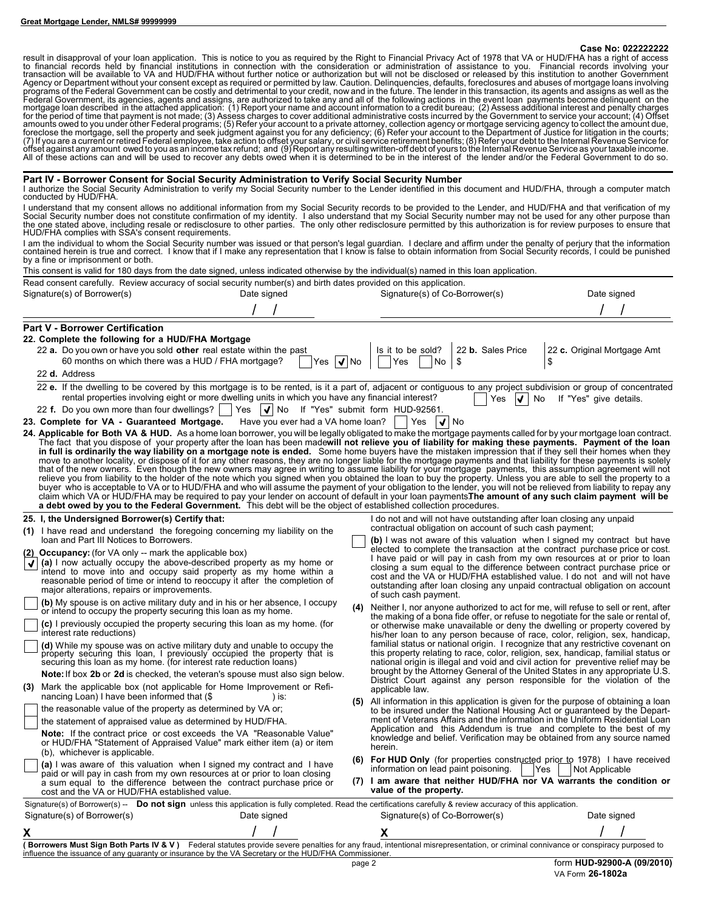#### **Case No: 022222222**

result in disapproval of your loan application. This is notice to you as required by the Right to Financial Privacy Act of 1978 that VA or HUD/FHA has a right of access<br>transaction will be available to VA and HUD/FHA witho

#### **Part IV - Borrower Consent for Social Security Administration to Verify Social Security Number**

I authorize the Social Security Administration to verify my Social Security number to the Lender identified in this document and HUD/FHA, through a computer match conducted by HUD/FHA.

I understand that my consent allows no additional information from my Social Security records to be provided to the Lender, and HUD/FHA and that verification of my<br>Social Security number does not constitute confirmation of

I am the individual to whom the Social Security number was issued or that person's legal guardian. I declare and affirm under the penalty of perjury that the information<br>contained herein is true and correct. I know that if by a fine or imprisonment or both.

This consent is valid for 180 days from the date signed, unless indicated otherwise by the individual(s) named in this loan application.

| Read consent carefully. Review accuracy of social security number(s) and birth dates provided on this application.                                                                                                                                                                                                                                                                                                                                                                                                                                                                                                                                                                                                                                                                                                                                                                                                                                                                                                                                                                                                                                                                                                                                                                                                                                                                                                                                                                                                                                                                                                                                                                                                                                                                                                          |             |                                                                                                                                                                                                                                                                                                                                                                                                                                                                                                                                                                                                                                                                                                                                                                                                                                                                                                                                                       |                                   |  |  |  |  |
|-----------------------------------------------------------------------------------------------------------------------------------------------------------------------------------------------------------------------------------------------------------------------------------------------------------------------------------------------------------------------------------------------------------------------------------------------------------------------------------------------------------------------------------------------------------------------------------------------------------------------------------------------------------------------------------------------------------------------------------------------------------------------------------------------------------------------------------------------------------------------------------------------------------------------------------------------------------------------------------------------------------------------------------------------------------------------------------------------------------------------------------------------------------------------------------------------------------------------------------------------------------------------------------------------------------------------------------------------------------------------------------------------------------------------------------------------------------------------------------------------------------------------------------------------------------------------------------------------------------------------------------------------------------------------------------------------------------------------------------------------------------------------------------------------------------------------------|-------------|-------------------------------------------------------------------------------------------------------------------------------------------------------------------------------------------------------------------------------------------------------------------------------------------------------------------------------------------------------------------------------------------------------------------------------------------------------------------------------------------------------------------------------------------------------------------------------------------------------------------------------------------------------------------------------------------------------------------------------------------------------------------------------------------------------------------------------------------------------------------------------------------------------------------------------------------------------|-----------------------------------|--|--|--|--|
| Signature(s) of Borrower(s)<br>Date signed                                                                                                                                                                                                                                                                                                                                                                                                                                                                                                                                                                                                                                                                                                                                                                                                                                                                                                                                                                                                                                                                                                                                                                                                                                                                                                                                                                                                                                                                                                                                                                                                                                                                                                                                                                                  |             | Signature(s) of Co-Borrower(s)                                                                                                                                                                                                                                                                                                                                                                                                                                                                                                                                                                                                                                                                                                                                                                                                                                                                                                                        | Date signed                       |  |  |  |  |
|                                                                                                                                                                                                                                                                                                                                                                                                                                                                                                                                                                                                                                                                                                                                                                                                                                                                                                                                                                                                                                                                                                                                                                                                                                                                                                                                                                                                                                                                                                                                                                                                                                                                                                                                                                                                                             |             |                                                                                                                                                                                                                                                                                                                                                                                                                                                                                                                                                                                                                                                                                                                                                                                                                                                                                                                                                       |                                   |  |  |  |  |
| <b>Part V - Borrower Certification</b><br>22. Complete the following for a HUD/FHA Mortgage<br>22 a. Do you own or have you sold other real estate within the past<br>60 months on which there was a HUD / FHA mortgage?<br><b>Yes</b><br>22 d. Address                                                                                                                                                                                                                                                                                                                                                                                                                                                                                                                                                                                                                                                                                                                                                                                                                                                                                                                                                                                                                                                                                                                                                                                                                                                                                                                                                                                                                                                                                                                                                                     | $\sqrt{ N}$ | Is it to be sold?<br>22 b. Sales Price<br>\$<br>Yes<br>No                                                                                                                                                                                                                                                                                                                                                                                                                                                                                                                                                                                                                                                                                                                                                                                                                                                                                             | 22 c. Original Mortgage Amt<br>\$ |  |  |  |  |
| 22 e. If the dwelling to be covered by this mortgage is to be rented, is it a part of, adjacent or contiguous to any project subdivision or group of concentrated<br>rental properties involving eight or more dwelling units in which you have any financial interest?<br>22 f. Do you own more than four dwellings?<br>Yes $ \mathbf{V} $ No If "Yes" submit form HUD-92561.<br>23. Complete for VA - Guaranteed Mortgage.<br>Have you ever had a VA home loan?<br>24. Applicable for Both VA & HUD. As a home loan borrower, you will be legally obligated to make the mortgage payments called for by your mortgage loan contract.<br>The fact that you dispose of your property after the loan has been madewill not relieve you of liability for making these payments. Payment of the loan<br>in full is ordinarily the way liability on a mortgage note is ended. Some home buyers have the mistaken impression that if they sell their homes when they<br>move to another locality, or dispose of it for any other reasons, they are no longer liable for the mortgage payments and that liability for these payments is solely that of the new owners. Even though the new owners may a<br>relieve you from liability to the holder of the note which you signed when you obtained the loan to buy the property. Unless you are able to sell the property to a<br>buyer who is acceptable to VA or to HUD/FHA and who will assume the payment of your obligation to the lender, you will not be relieved from liability to repay any<br>claim which VA or HUD/FHA may be required to pay your lender on account of default in your loan payments The amount of any such claim payment will be<br>a debt owed by you to the Federal Government. This debt will be the object of established collection procedures. |             | Yes<br>No<br><u>W</u><br>$\vert \bm{\mathsf{V}} \vert$ No<br>  Yes                                                                                                                                                                                                                                                                                                                                                                                                                                                                                                                                                                                                                                                                                                                                                                                                                                                                                    | If "Yes" give details.            |  |  |  |  |
| 25. I, the Undersigned Borrower(s) Certify that:                                                                                                                                                                                                                                                                                                                                                                                                                                                                                                                                                                                                                                                                                                                                                                                                                                                                                                                                                                                                                                                                                                                                                                                                                                                                                                                                                                                                                                                                                                                                                                                                                                                                                                                                                                            |             | I do not and will not have outstanding after loan closing any unpaid                                                                                                                                                                                                                                                                                                                                                                                                                                                                                                                                                                                                                                                                                                                                                                                                                                                                                  |                                   |  |  |  |  |
| (1) I have read and understand the foregoing concerning my liability on the<br>loan and Part III Notices to Borrowers.                                                                                                                                                                                                                                                                                                                                                                                                                                                                                                                                                                                                                                                                                                                                                                                                                                                                                                                                                                                                                                                                                                                                                                                                                                                                                                                                                                                                                                                                                                                                                                                                                                                                                                      |             | contractual obligation on account of such cash payment;<br>(b) I was not aware of this valuation when I signed my contract but have                                                                                                                                                                                                                                                                                                                                                                                                                                                                                                                                                                                                                                                                                                                                                                                                                   |                                   |  |  |  |  |
| (2) Occupancy: (for VA only -- mark the applicable box)<br>(a) I now actually occupy the above-described property as my home or<br>intend to move into and occupy said property as my home within a<br>reasonable period of time or intend to reoccupy it after the completion of<br>major alterations, repairs or improvements.                                                                                                                                                                                                                                                                                                                                                                                                                                                                                                                                                                                                                                                                                                                                                                                                                                                                                                                                                                                                                                                                                                                                                                                                                                                                                                                                                                                                                                                                                            |             | elected to complete the transaction at the contract purchase price or cost.<br>I have paid or will pay in cash from my own resources at or prior to loan<br>closing a sum equal to the difference between contract purchase price or<br>cost and the VA or HUD/FHA established value. I do not and will not have<br>outstanding after loan closing any unpaid contractual obligation on account<br>of such cash payment.                                                                                                                                                                                                                                                                                                                                                                                                                                                                                                                              |                                   |  |  |  |  |
| (b) My spouse is on active military duty and in his or her absence, I occupy<br>or intend to occupy the property securing this loan as my home.<br>(c) I previously occupied the property securing this loan as my home. (for<br>interest rate reductions)<br>(d) While my spouse was on active military duty and unable to occupy the<br>property securing this loan, I previously occupied the property that is<br>securing this loan as my home. (for interest rate reduction loans)<br><b>Note:</b> If box 2b or 2d is checked, the veteran's spouse must also sign below.<br>(3) Mark the applicable box (not applicable for Home Improvement or Refi-<br>nancing Loan) I have been informed that (\$<br>) is:<br>the reasonable value of the property as determined by VA or;                                                                                                                                                                                                                                                                                                                                                                                                                                                                                                                                                                                                                                                                                                                                                                                                                                                                                                                                                                                                                                         | (4)         | Neither I, nor anyone authorized to act for me, will refuse to sell or rent, after<br>the making of a bona fide offer, or refuse to negotiate for the sale or rental of,<br>or otherwise make unavailable or deny the dwelling or property covered by<br>his/her loan to any person because of race, color, religion, sex, handicap,<br>familial status or national origin. I recognize that any restrictive covenant on<br>this property relating to race, color, religion, sex, handicap, familial status or<br>national origin is illegal and void and civil action for preventive relief may be<br>brought by the Attorney General of the United States in any appropriate U.S.<br>District Court against any person responsible for the violation of the<br>applicable law.<br>(5) All information in this application is given for the purpose of obtaining a loan<br>to be insured under the National Housing Act or guaranteed by the Depart- |                                   |  |  |  |  |
| the statement of appraised value as determined by HUD/FHA.<br><b>Note:</b> If the contract price or cost exceeds the VA "Reasonable Value"<br>or HUD/FHA "Statement of Appraised Value" mark either item (a) or item<br>(b), whichever is applicable.<br>(a) I was aware of this valuation when I signed my contract and I have<br>paid or will pay in cash from my own resources at or prior to loan closing                                                                                                                                                                                                                                                                                                                                                                                                                                                                                                                                                                                                                                                                                                                                                                                                                                                                                                                                                                                                                                                                                                                                                                                                                                                                                                                                                                                                               |             | ment of Veterans Affairs and the information in the Uniform Residential Loan<br>Application and this Addendum is true and complete to the best of my<br>knowledge and belief. Verification may be obtained from any source named<br>herein.<br>(6) For HUD Only (for properties constructed prior to 1978) I have received<br>information on lead paint poisoning.<br> Yes<br><b>Not Applicable</b><br>(7) I am aware that neither HUD/FHA nor VA warrants the condition or                                                                                                                                                                                                                                                                                                                                                                                                                                                                           |                                   |  |  |  |  |
| a sum equal to the difference between the contract purchase price or<br>cost and the VA or HUD/FHA established value.                                                                                                                                                                                                                                                                                                                                                                                                                                                                                                                                                                                                                                                                                                                                                                                                                                                                                                                                                                                                                                                                                                                                                                                                                                                                                                                                                                                                                                                                                                                                                                                                                                                                                                       |             | value of the property.                                                                                                                                                                                                                                                                                                                                                                                                                                                                                                                                                                                                                                                                                                                                                                                                                                                                                                                                |                                   |  |  |  |  |
| Signature(s) of Borrower(s) -- Do not sign unless this application is fully completed. Read the certifications carefully & review accuracy of this application.<br>Signature(s) of Borrower(s)<br>Date signed                                                                                                                                                                                                                                                                                                                                                                                                                                                                                                                                                                                                                                                                                                                                                                                                                                                                                                                                                                                                                                                                                                                                                                                                                                                                                                                                                                                                                                                                                                                                                                                                               |             | Signature(s) of Co-Borrower(s)                                                                                                                                                                                                                                                                                                                                                                                                                                                                                                                                                                                                                                                                                                                                                                                                                                                                                                                        | Date signed                       |  |  |  |  |
|                                                                                                                                                                                                                                                                                                                                                                                                                                                                                                                                                                                                                                                                                                                                                                                                                                                                                                                                                                                                                                                                                                                                                                                                                                                                                                                                                                                                                                                                                                                                                                                                                                                                                                                                                                                                                             |             |                                                                                                                                                                                                                                                                                                                                                                                                                                                                                                                                                                                                                                                                                                                                                                                                                                                                                                                                                       |                                   |  |  |  |  |
| (Borrowers Must Sign Both Parts IV & V) Federal statutes provide severe penalties for any fraud, intentional misrepresentation, or criminal connivance or conspiracy purposed to<br>influence the issuance of any guaranty or insurance by the VA Secretary or the HUD/FHA Commissioner.                                                                                                                                                                                                                                                                                                                                                                                                                                                                                                                                                                                                                                                                                                                                                                                                                                                                                                                                                                                                                                                                                                                                                                                                                                                                                                                                                                                                                                                                                                                                    |             |                                                                                                                                                                                                                                                                                                                                                                                                                                                                                                                                                                                                                                                                                                                                                                                                                                                                                                                                                       |                                   |  |  |  |  |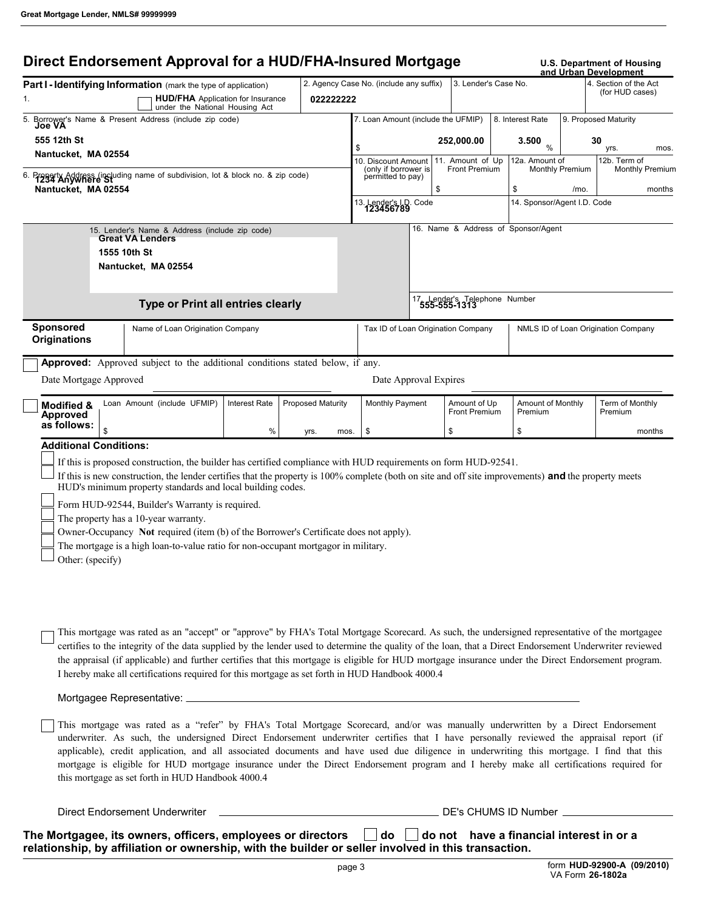# **Direct Endorsement Approval for a HUD/FHA-Insured Mortgage U.S. Department of Housing**

|                                                                      |                                                                                                                                                                                                                                                                                                                                                                                                                                                                                                                                                                                                                         |                      |                          |           |                                             |      |                                          |                                              |                        | and Urban Development                    |                        |
|----------------------------------------------------------------------|-------------------------------------------------------------------------------------------------------------------------------------------------------------------------------------------------------------------------------------------------------------------------------------------------------------------------------------------------------------------------------------------------------------------------------------------------------------------------------------------------------------------------------------------------------------------------------------------------------------------------|----------------------|--------------------------|-----------|---------------------------------------------|------|------------------------------------------|----------------------------------------------|------------------------|------------------------------------------|------------------------|
|                                                                      | Part I - Identifying Information (mark the type of application)<br><b>HUD/FHA</b> Application for Insurance                                                                                                                                                                                                                                                                                                                                                                                                                                                                                                             |                      |                          | 022222222 | 2. Agency Case No. (include any suffix)     |      | 3. Lender's Case No.                     |                                              |                        | 4. Section of the Act<br>(for HUD cases) |                        |
|                                                                      | under the National Housing Act                                                                                                                                                                                                                                                                                                                                                                                                                                                                                                                                                                                          |                      |                          |           | 7. Loan Amount (include the UFMIP)          |      |                                          | 8. Interest Rate                             |                        | 9. Proposed Maturity                     |                        |
| Borrower's Name & Present Address (include zip code)<br>5.<br>Joe VA |                                                                                                                                                                                                                                                                                                                                                                                                                                                                                                                                                                                                                         |                      |                          |           |                                             |      |                                          |                                              |                        |                                          |                        |
| 555 12th St                                                          |                                                                                                                                                                                                                                                                                                                                                                                                                                                                                                                                                                                                                         |                      |                          |           | \$                                          |      | 252,000.00                               | 3.500<br>$\frac{0}{0}$                       |                        | 30<br>yrs.                               | mos.                   |
| Nantucket, MA 02554                                                  |                                                                                                                                                                                                                                                                                                                                                                                                                                                                                                                                                                                                                         |                      |                          |           | 10. Discount Amount<br>(only if borrower is |      | 11. Amount of Up<br><b>Front Premium</b> | 12a. Amount of                               | <b>Monthly Premium</b> | 12b. Term of                             | <b>Monthly Premium</b> |
| Nantucket, MA 02554                                                  | Property Address (including name of subdivision, lot & block no. & zip code)                                                                                                                                                                                                                                                                                                                                                                                                                                                                                                                                            |                      |                          |           | permitted to pay)                           | \$   |                                          | \$                                           | /mo.                   |                                          | months                 |
|                                                                      |                                                                                                                                                                                                                                                                                                                                                                                                                                                                                                                                                                                                                         |                      |                          |           | 13. Lender's I.D.<br>1 <b>23456789</b>      | Code |                                          | 14. Sponsor/Agent I.D. Code                  |                        |                                          |                        |
|                                                                      | 15. Lender's Name & Address (include zip code)<br><b>Great VA Lenders</b>                                                                                                                                                                                                                                                                                                                                                                                                                                                                                                                                               |                      |                          |           |                                             |      |                                          | 16. Name & Address of Sponsor/Agent          |                        |                                          |                        |
|                                                                      | 1555 10th St                                                                                                                                                                                                                                                                                                                                                                                                                                                                                                                                                                                                            |                      |                          |           |                                             |      |                                          |                                              |                        |                                          |                        |
|                                                                      | Nantucket, MA 02554                                                                                                                                                                                                                                                                                                                                                                                                                                                                                                                                                                                                     |                      |                          |           |                                             |      |                                          |                                              |                        |                                          |                        |
|                                                                      | <b>Type or Print all entries clearly</b>                                                                                                                                                                                                                                                                                                                                                                                                                                                                                                                                                                                |                      |                          |           |                                             |      |                                          | 17 Lender's Telephone Number<br>555-555-1313 |                        |                                          |                        |
| Sponsored<br><b>Originations</b>                                     | Name of Loan Origination Company                                                                                                                                                                                                                                                                                                                                                                                                                                                                                                                                                                                        |                      |                          |           | Tax ID of Loan Origination Company          |      |                                          |                                              |                        | NMLS ID of Loan Origination Company      |                        |
|                                                                      | Approved: Approved subject to the additional conditions stated below, if any.                                                                                                                                                                                                                                                                                                                                                                                                                                                                                                                                           |                      |                          |           |                                             |      |                                          |                                              |                        |                                          |                        |
| Date Mortgage Approved                                               |                                                                                                                                                                                                                                                                                                                                                                                                                                                                                                                                                                                                                         |                      |                          |           | Date Approval Expires                       |      |                                          |                                              |                        |                                          |                        |
| Modified &<br>Approved                                               | Loan Amount (include UFMIP)                                                                                                                                                                                                                                                                                                                                                                                                                                                                                                                                                                                             | <b>Interest Rate</b> | <b>Proposed Maturity</b> |           | Monthly Payment                             |      | Amount of Up<br><b>Front Premium</b>     | Amount of Monthly<br>Premium                 |                        | Term of Monthly<br>Premium               |                        |
| as follows:<br>\$                                                    |                                                                                                                                                                                                                                                                                                                                                                                                                                                                                                                                                                                                                         | %                    | yrs.                     | mos.      | \$                                          |      | \$                                       | \$                                           |                        |                                          | months                 |
| <b>Additional Conditions:</b>                                        |                                                                                                                                                                                                                                                                                                                                                                                                                                                                                                                                                                                                                         |                      |                          |           |                                             |      |                                          |                                              |                        |                                          |                        |
|                                                                      | If this is proposed construction, the builder has certified compliance with HUD requirements on form HUD-92541.<br>If this is new construction, the lender certifies that the property is 100% complete (both on site and off site improvements) and the property meets<br>HUD's minimum property standards and local building codes.<br>Form HUD-92544, Builder's Warranty is required.<br>The property has a 10-year warranty.<br>Owner-Occupancy Not required (item (b) of the Borrower's Certificate does not apply).                                                                                               |                      |                          |           |                                             |      |                                          |                                              |                        |                                          |                        |
| Other: (specify)                                                     | The mortgage is a high loan-to-value ratio for non-occupant mortgagor in military.                                                                                                                                                                                                                                                                                                                                                                                                                                                                                                                                      |                      |                          |           |                                             |      |                                          |                                              |                        |                                          |                        |
|                                                                      | This mortgage was rated as an "accept" or "approve" by FHA's Total Mortgage Scorecard. As such, the undersigned representative of the mortgagee<br>certifies to the integrity of the data supplied by the lender used to determine the quality of the loan, that a Direct Endorsement Underwriter reviewed<br>the appraisal (if applicable) and further certifies that this mortgage is eligible for HUD mortgage insurance under the Direct Endorsement program.<br>I hereby make all certifications required for this mortgage as set forth in HUD Handbook 4000.4                                                    |                      |                          |           |                                             |      |                                          |                                              |                        |                                          |                        |
|                                                                      |                                                                                                                                                                                                                                                                                                                                                                                                                                                                                                                                                                                                                         |                      |                          |           |                                             |      |                                          |                                              |                        |                                          |                        |
|                                                                      | This mortgage was rated as a "refer" by FHA's Total Mortgage Scorecard, and/or was manually underwritten by a Direct Endorsement<br>underwriter. As such, the undersigned Direct Endorsement underwriter certifies that I have personally reviewed the appraisal report (if<br>applicable), credit application, and all associated documents and have used due diligence in underwriting this mortgage. I find that this<br>mortgage is eligible for HUD mortgage insurance under the Direct Endorsement program and I hereby make all certifications required for<br>this mortgage as set forth in HUD Handbook 4000.4 |                      |                          |           |                                             |      |                                          |                                              |                        |                                          |                        |
|                                                                      |                                                                                                                                                                                                                                                                                                                                                                                                                                                                                                                                                                                                                         |                      |                          |           |                                             |      |                                          |                                              |                        |                                          |                        |
|                                                                      |                                                                                                                                                                                                                                                                                                                                                                                                                                                                                                                                                                                                                         |                      |                          |           |                                             |      |                                          |                                              |                        |                                          |                        |

The Mortgagee, its owners, officers, employees or directors  $\Box$  do  $\;\Box$  do not have a financial interest in or a **relationship, by affiliation or ownership, with the builder or seller involved in this transaction.**